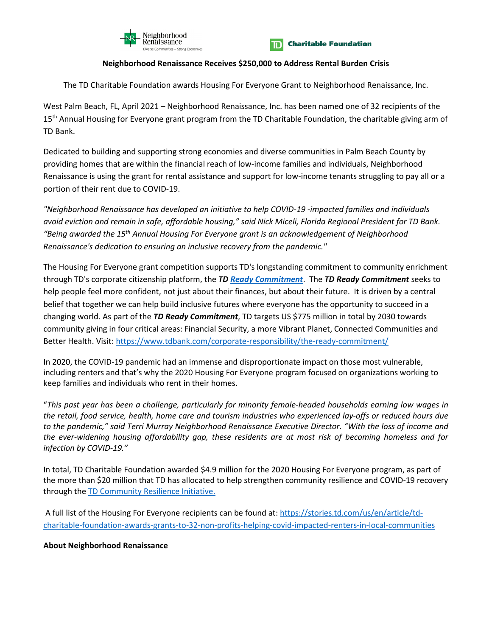



## **Neighborhood Renaissance Receives \$250,000 to Address Rental Burden Crisis**

The TD Charitable Foundation awards Housing For Everyone Grant to Neighborhood Renaissance, Inc.

West Palm Beach, FL, April 2021 – Neighborhood Renaissance, Inc. has been named one of 32 recipients of the 15<sup>th</sup> Annual Housing for Everyone grant program from the TD Charitable Foundation, the charitable giving arm of TD Bank.

Dedicated to building and supporting strong economies and diverse communities in Palm Beach County by providing homes that are within the financial reach of low-income families and individuals, Neighborhood Renaissance is using the grant for rental assistance and support for low-income tenants struggling to pay all or a portion of their rent due to COVID-19.

*"Neighborhood Renaissance has developed an initiative to help COVID-19 -impacted families and individuals avoid eviction and remain in safe, affordable housing," said Nick Miceli, Florida Regional President for TD Bank. "Being awarded the 15th Annual Housing For Everyone grant is an acknowledgement of Neighborhood Renaissance's dedication to ensuring an inclusive recovery from the pandemic."*

The Housing For Everyone grant competition supports TD's longstanding commitment to community enrichment through TD's corporate citizenship platform, the *TD [Ready Commitment](https://stories.td.com/us/en/article/td-releases-2020-environmental-social-and-governance-report-and-td-ready-commitment-report)*. The *TD Ready Commitment* seeks to help people feel more confident, not just about their finances, but about their future. It is driven by a central belief that together we can help build inclusive futures where everyone has the opportunity to succeed in a changing world. As part of the *TD Ready Commitment*, TD targets US \$775 million in total by 2030 towards community giving in four critical areas: Financial Security, a more Vibrant Planet, Connected Communities and Better Health. Visit:<https://www.tdbank.com/corporate-responsibility/the-ready-commitment/>

In 2020, the COVID-19 pandemic had an immense and disproportionate impact on those most vulnerable, including renters and that's why the 2020 Housing For Everyone program focused on organizations working to keep families and individuals who rent in their homes.

"*This past year has been a challenge, particularly for minority female-headed households earning low wages in the retail, food service, health, home care and tourism industries who experienced lay-offs or reduced hours due to the pandemic," said Terri Murray Neighborhood Renaissance Executive Director. "With the loss of income and the ever-widening housing affordability gap, these residents are at most risk of becoming homeless and for infection by COVID-19."*

In total, TD Charitable Foundation awarded \$4.9 million for the 2020 Housing For Everyone program, as part of the more than \$20 million that TD has allocated to help strengthen community resilience and COVID-19 recovery through th[e TD Community Resilience Initiative.](http://td.mediaroom.com/2020-04-29-The-TD-Community-Resilience-Initiative-Allocates-25-Million-to-Organizations-Engaged-In-COVID-19-Response-and-Community-Recovery)

A full list of the Housing For Everyone recipients can be found at: [https://stories.td.com/us/en/article/td](https://stories.td.com/us/en/article/td-charitable-foundation-awards-grants-to-32-non-profits-helping-covid-impacted-renters-in-local-communities)[charitable-foundation-awards-grants-to-32-non-profits-helping-covid-impacted-renters-in-local-communities](https://stories.td.com/us/en/article/td-charitable-foundation-awards-grants-to-32-non-profits-helping-covid-impacted-renters-in-local-communities)

## **About Neighborhood Renaissance**